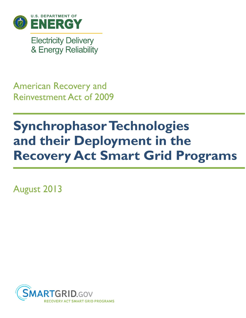

**Electricity Delivery** & Energy Reliability

**American Recovery and Reinvestment Act of 2009** 

# **Synchrophasor Technologies** and their Deployment in the **Recovery Act Smart Grid Programs**

August 2013

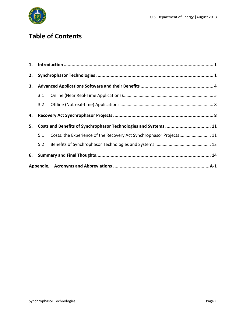

# **Table of Contents**

| 2. |     |                                                                     |  |  |  |  |
|----|-----|---------------------------------------------------------------------|--|--|--|--|
| 3. |     |                                                                     |  |  |  |  |
|    | 3.1 |                                                                     |  |  |  |  |
|    | 3.2 |                                                                     |  |  |  |  |
| 4. |     |                                                                     |  |  |  |  |
| 5. |     | Costs and Benefits of Synchrophasor Technologies and Systems  11    |  |  |  |  |
|    | 5.1 | Costs: the Experience of the Recovery Act Synchrophasor Projects 11 |  |  |  |  |
|    | 5.2 |                                                                     |  |  |  |  |
|    |     |                                                                     |  |  |  |  |
|    |     |                                                                     |  |  |  |  |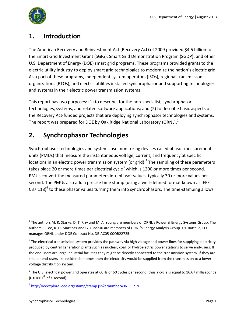

### <span id="page-2-0"></span>**1. Introduction**

The American Recovery and Reinvestment Act (Recovery Act) of 2009 provided \$4.5 billion for the Smart Grid Investment Grant (SGIG), Smart Grid Demonstration Program (SGDP), and other U.S. Department of Energy (DOE) smart grid programs. These programs provided grants to the electric utility industry to deploy smart grid technologies to modernize the nation's electric grid. As a part of these programs, independent system operators (ISOs), regional transmission organizations (RTOs), and electric utilities installed synchrophasor and supporting technologies and systems in their electric power transmission systems.

This report has two purposes: (1) to describe, for the non-specialist, synchrophasor technologies, systems, and related software applications; and (2) to describe basic aspects of the Recovery Act-funded projects that are deploying synchrophasor technologies and systems. The report was prepared for DOE by Oak Ridge National Laboratory (ORNL).<sup>1</sup>

# <span id="page-2-1"></span>**2. Synchrophasor Technologies**

Synchrophasor technologies and systems use monitoring devices called phasor measurement units (PMUs) that measure the instantaneous voltage, current, and frequency at specific locations in an electric power transmission system (or grid).<sup>2</sup> The sampling of these parameters takes place 20 or more times per electrical cycle<sup>3</sup> which is 1200 or more times per second. PMUs convert the measured parameters into phasor values, typically 30 or more values per second. The PMUs also add a precise time stamp (using a well-defined format known as IEEE C37.118)<sup>4</sup> to these phasor values turning them into synchrophasors. The time-stamping allows

<sup>&</sup>lt;sup>1</sup> The authors M. R. Starke, D. T. Rizy and M. A. Young are members of ORNL's Power & Energy Systems Group. The authors R. Lee, R. U. Martinez and G. Oladosu are members of ORNL's Energy Analysis Group. UT-Battelle, LCC manages ORNL under DOE Contract No. DE-AC05-00OR22725.

 $2$  The electrical transmission system provides the pathway via high voltage and power lines for supplying electricity produced by central generation plants such as nuclear, coal, or hydroelectric power stations to serve end-users. If the end-users are large industrial facilities they might be directly connected to the transmission system. If they are smaller end-users like residential homes then the electricity would be supplied from the transmission to a lower voltage distribution system.

 $^3$  The U.S. electrical power grid operates at 60Hz or 60 cycles per second; thus a cycle is equal to 16.67 milliseconds  $(0.01667<sup>th</sup>$  of a second).

<sup>&</sup>lt;sup>4</sup> [http://ieeexplore.ieee.org/stamp/stamp.jsp?arnumber=06111219.](http://ieeexplore.ieee.org/stamp/stamp.jsp?arnumber=06111219)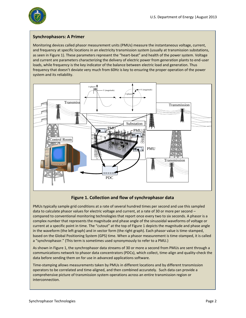

#### **Synchrophasors: A Primer**

Monitoring devices called phasor measurement units (PMUs) measure the instantaneous voltage, current, and frequency at specific locations in an electricity transmission system (usually at transmission substations, as seen in Figure 1). These parameters represent the "heart-beat" and health of the power system. Voltage and current are parameters characterizing the delivery of electric power from generation plants to end-user loads, while frequency is the key indicator of the balance between electric load and generation. Thus frequency that doesn't deviate very much from 60Hz is key to ensuring the proper operation of the power system and its reliability.



#### **Figure 1. Collection and flow of synchrophasor data**

PMUs typically sample grid conditions at a rate of several hundred times per second and use this sampled data to calculate phasor values for electric voltage and current, at a rate of 30 or more per second – compared to conventional monitoring technologies that report once every two to six seconds. A phasor is a complex number that represents the magnitude and phase angle of the sinusoidal waveforms of voltage or current at a specific point in time. The "cutout" at the top of Figure 1 depicts the magnitude and phase angle in the waveform (the left graph) and in vector form (the right graph). Each phasor value is time-stamped, based on the Global Positioning System (GPS) time. When a phasor measurement is time-stamped, it is called a "synchrophasor." (This term is sometimes used synonymously to refer to a PMU.)

As shown in Figure 1, the synchrophasor data streams of 30 or more a second from PMUs are sent through a communications network to phasor data concentrators (PDCs), which collect, time-align and quality-check the data before sending them on for use in advanced applications software.

Time-stamping allows measurements taken by PMUs in different locations and by different transmission operators to be correlated and time-aligned, and then combined accurately. Such data can provide a comprehensive picture of transmission system operations across an entire transmission region or interconnection.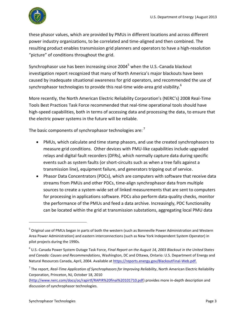

these phasor values, which are provided by PMUs in different locations and across different power industry organizations, to be correlated and time-aligned and then combined. The resulting product enables transmission grid planners and operators to have a high-resolution "picture" of conditions throughout the grid.

Synchrophasor use has been increasing since  $2004<sup>5</sup>$  when the U.S.-Canada blackout investigation report recognized that many of North America's major blackouts have been caused by inadequate situational awareness for grid operators, and recommended the use of synchrophasor technologies to provide this real-time wide-area grid visibility.<sup>6</sup>

More recently, the North American Electric Reliability Corporation's (NERC's) 2008 Real-Time Tools Best Practices Task Force recommended that real-time operational tools should have high-speed capabilities, both in terms of accessing data and processing the data, to ensure that the electric power systems in the future will be reliable.

The basic components of synchrophasor technologies are:<sup>7</sup>

- PMUs, which calculate and time stamp phasors, and use the created synchrophasors to measure grid conditions. Other devices with PMU-like capabilities include upgraded relays and digital fault recorders (DFRs), which normally capture data during specific events such as system faults (or short-circuits such as when a tree falls against a transmission line), equipment failure, and generators tripping out of service.
- Phasor Data Concentrators (PDCs), which are computers with software that receive data streams from PMUs and other PDCs, time-align synchrophasor data from multiple sources to create a system-wide set of linked measurements that are sent to computers for processing in applications software. PDCs also perform data-quality checks, monitor the performance of the PMUs and feed a data archive. Increasingly, PDC functionality can be located within the grid at transmission substations, aggregating local PMU data

<sup>&</sup>lt;sup>5</sup> Original use of PMUs began in parts of both the western (such as Bonneville Power Administration and Western Area Power Administration) and eastern interconnections (such as New York Independent System Operator) in pilot projects during the 1990s.

<sup>6</sup> U.S.-Canada Power System Outage Task Force, *Final Report on the August 14, 2003 Blackout in the United States and Canada: Causes and Recommendations*, Washington, DC and Ottawa, Ontario: U.S. Department of Energy and Natural Resources Canada, April, 2004. Available at [https://reports.energy.gov/BlackoutFinal-Web.pdf.](https://reports.energy.gov/BlackoutFinal-Web.pdf)

<sup>7</sup> The report, *Real-Time Application of Synchrophasors for Improving Reliability*, North American Electric Reliability Corporation, Princeton, NJ, October 18, 2010

[<sup>\(</sup>http://www.nerc.com/docs/oc/rapirtf/RAPIR%20final%20101710.pdf\)](http://www.nerc.com/docs/oc/rapirtf/RAPIR%20final%20101710.pdf) provides more in-depth description and discussion of synchrophasor technologies.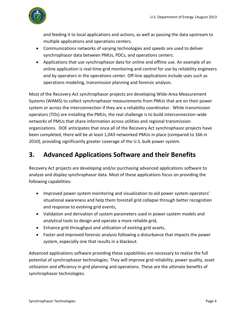

and feeding it to local applications and actions, as well as passing the data upstream to multiple applications and operations centers.

- Communications networks of varying technologies and speeds are used to deliver synchrophasor data between PMUs, PDCs, and operations centers.
- Applications that use synchrophasor data for online and offline use. An example of an online application is real-time grid monitoring and control for use by reliability engineers and by operators in the operations center. Off-line applications include uses such as operations modeling, transmission planning and forensic analysis.

Most of the Recovery Act synchrophasor projects are developing Wide-Area Measurement Systems (WAMS) to collect synchrophasor measurements from PMUs that are on their power system or across the interconnection if they are a reliability coordinator. While transmission operators (TOs) are installing the PMUs, the real challenge is to build interconnection-wide *networks* of PMUs that share information across utilities and regional transmission organizations. DOE anticipates that once all of the Recovery Act synchrophasor projects have been completed, there will be at least 1,043 networked PMUs in place (compared to 166 in 2010), providing significantly greater coverage of the U.S. bulk power system.

# <span id="page-5-0"></span>**3. Advanced Applications Software and their Benefits**

Recovery Act projects are developing and/or purchasing advanced applications software to analyze and display synchrophasor data. Most of these applications focus on providing the following capabilities:

- Improved power system monitoring and visualization to aid power system operators' situational awareness and help them forestall grid collapse through better recognition and response to evolving grid events,
- Validation and derivation of system parameters used in power-system models and analytical tools to design and operate a more reliable grid,
- Enhance grid throughput and utilization of existing grid assets,
- Faster and improved forensic analysis following a disturbance that impacts the power system, especially one that results in a blackout.

Advanced applications software providing these capabilities are necessary to realize the full potential of synchrophasor technologies. They will improve grid reliability, power quality, asset utilization and efficiency in grid planning and operations. These are the ultimate benefits of synchrophasor technologies.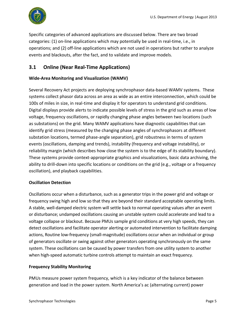

Specific categories of advanced applications are discussed below. There are two broad categories: (1) on-line applications which may potentially be used in real-time, i.e., in operations; and (2) off-line applications which are not used in operations but rather to analyze events and blackouts, after the fact, and to validate and improve models.

### <span id="page-6-0"></span>**3.1 Online (Near Real-Time Applications)**

#### **Wide-Area Monitoring and Visualization (WAMV)**

Several Recovery Act projects are deploying synchrophasor data-based WAMV systems. These systems collect phasor data across an area as wide as an entire interconnection, which could be 100s of miles in size, in real-time and display it for operators to understand grid conditions. Digital displays provide alerts to indicate possible levels of stress in the grid such as areas of low voltage, frequency oscillations, or rapidly changing phase angles between two locations (such as substations) on the grid. Many WAMV applications have diagnostic capabilities that can identify grid stress (measured by the changing phase angles of synchrophasors at different substation locations, termed phase-angle separation), grid robustness in terms of system events (oscillations, damping and trends), instability (frequency and voltage instability), or reliability margin (which describes how close the system is to the edge of its stability boundary). These systems provide context-appropriate graphics and visualizations, basic data archiving, the ability to drill-down into specific locations or conditions on the grid (e.g., voltage or a frequency oscillation), and playback capabilities.

#### **Oscillation Detection**

Oscillations occur when a disturbance, such as a generator trips in the power grid and voltage or frequency swing high and low so that they are beyond their standard acceptable operating limits. A stable, well-damped electric system will settle back to normal operating values after an event or disturbance; undamped oscillations causing an unstable system could accelerate and lead to a voltage collapse or blackout. Because PMUs sample grid conditions at very high speeds, they can detect oscillations and facilitate operator alerting or automated intervention to facilitate damping actions, Routine low-frequency (small-magnitude) oscillations occur when an individual or group of generators oscillate or swing against other generators operating synchronously on the same system. These oscillations can be caused by power transfers from one utility system to another when high-speed automatic turbine controls attempt to maintain an exact frequency.

#### **Frequency Stability Monitoring**

PMUs measure power system frequency, which is a key indicator of the balance between generation and load in the power system. North America's ac (alternating current) power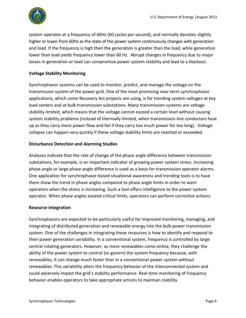

system operates at a frequency of 60Hz (60 cycles per second), and normally deviates slightly higher or lower from 60Hz as the state of the power system continuously changes with generation and load. If the frequency is high then the generation is greater than the load, while generation lower than load yields frequency lower than 60 Hz. Abrupt changes in frequency due to major losses in generation or load can compromise power system stability and lead to a blackout.

#### **Voltage Stability Monitoring**

Synchrophasor systems can be used to monitor, predict, and manage the voltage on the transmission system of the power grid. One of the most promising near-term synchrophasor applications, which some Recovery Act projects are using, is for trending system voltages at key load centers and at bulk transmission substations. Many transmission systems are voltage stability-limited, which means that the voltage cannot exceed a certain level without causing system stability problems (instead of thermally-limited, when transmission-line conductors heat up as they carry more power flow and fail if they carry too much power for too long). Voltage collapse can happen very quickly if these voltage stability limits are reached or exceeded.

#### **Disturbance Detection and Alarming Studies**

Analyses indicate that the rate of change of the phase angle difference between transmission substations, for example, is an important indicator of growing power-system stress. Increasing phase angle or large phase angle difference is used as a basis for transmission operator alarms. One application for synchrophasor-based situational awareness and trending tools is to have them show the trend in phase angles compared to phase angle limits in order to warn operators when the stress is increasing. Such a tool offers intelligence to the power system operator. When phase angles exceed critical limits, operators can perform corrective actions.

#### **Resource Integration**

Synchrophasors are expected to be particularly useful for improved monitoring, managing, and integrating of distributed generation and renewable energy into the bulk power transmission system. One of the challenges in integrating these resources is how to identify and respond to their power generation variability. In a conventional system, frequency is controlled by large central rotating generators. However, as more renewables come online, they challenge the ability of the power system to control (or govern) the system frequency because, with renewables, it can change much faster than in a conventional power system without renewables. This variability alters the frequency behavior of the interconnected system and could adversely impact the grid's stability performance. Real-time monitoring of frequency behavior enables operators to take appropriate actions to maintain stability.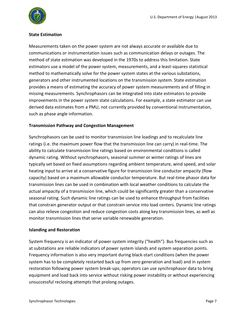#### **State Estimation**

Measurements taken on the power system are not always accurate or available due to communications or instrumentation issues such as communication delays or outages. The method of state estimation was developed in the 1970s to address this limitation. State estimators use a model of the power system, measurements, and a least-squares statistical method to mathematically solve for the power system states at the various substations, generators and other instrumented locations on the transmission system. State estimation provides a means of estimating the accuracy of power system measurements and of filling in missing measurements. Synchrophasors can be integrated into state estimators to provide improvements in the power system state calculations. For example, a state estimator can use derived data estimates from a PMU, not currently provided by conventional instrumentation, such as phase angle information.

#### **Transmission Pathway and Congestion Management**

Synchrophasors can be used to monitor transmission line loadings and to recalculate line ratings (i.e. the maximum power flow that the transmission line can carry) in real-time. The ability to calculate transmission line ratings based on environmental conditions is called dynamic rating. Without synchrophasors, seasonal summer or winter ratings of lines are typically set based on fixed assumptions regarding ambient temperature, wind speed, and solar heating input to arrive at a conservative figure for transmission line conductor ampacity (flow capacity) based on a maximum allowable conductor temperature. But real-time phasor data for transmission lines can be used in combination with local weather conditions to calculate the actual ampacity of a transmission line, which could be significantly greater than a conservative seasonal rating. Such dynamic line ratings can be used to enhance throughput from facilities that constrain generator output or that constrain service into load centers. Dynamic line ratings can also relieve congestion and reduce congestion costs along key transmission lines, as well as monitor transmission lines that serve variable renewable generation.

#### **Islanding and Restoration**

System frequency is an indicator of power system integrity ("health"). Bus frequencies such as at substations are reliable indicators of power system islands and system separation points. Frequency information is also very important during black-start conditions (when the power system has to be completely restarted back up from zero generation and load) and in system restoration following power system break-ups; operators can use synchrophasor data to bring equipment and load back into service without risking power instability or without experiencing unsuccessful reclosing attempts that prolong outages.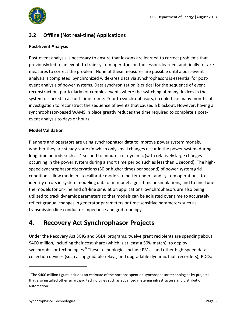### <span id="page-9-0"></span>**3.2 Offline (Not real-time) Applications**

#### **Post-Event Analysis**

Post-event analysis is necessary to ensure that lessons are learned to correct problems that previously led to an event, to train system operators on the lessons learned, and finally to take measures to correct the problem. None of these measures are possible until a post-event analysis is completed. Synchronized wide-area data via synchrophasors is essential for postevent analysis of power systems. Data synchronization is critical for the sequence of event reconstruction, particularly for complex events where the switching of many devices in the system occurred in a short-time frame. Prior to synchrophasors, it could take many months of investigation to reconstruct the sequence of events that caused a blackout. However, having a synchrophasor-based WAMS in place greatly reduces the time required to complete a postevent analysis to days or hours.

#### **Model Validation**

Planners and operators are using synchrophasor data to improve power system models, whether they are steady-state (in which only small changes occur in the power system during long time periods such as 1 second to minutes) or dynamic (with relatively large changes occurring in the power system during a short time period such as less than 1 second). The highspeed synchrophasor observations (30 or higher times per second) of power system grid conditions allow modelers to calibrate models to better understand system operations, to identify errors in system modeling data or in model algorithms or simulations, and to fine-tune the models for on-line and off-line simulation applications. Synchrophasors are also being utilized to track dynamic parameters so that models can be adjusted over time to accurately reflect gradual changes in generator parameters or time-sensitive parameters such as transmission line conductor impedance and grid topology.

### <span id="page-9-1"></span>**4. Recovery Act Synchrophasor Projects**

Under the Recovery Act SGIG and SGDP programs, twelve grant recipients are spending about \$400 million, including their cost-share (which is at least a 50% match), to deploy synchrophasor technologies.<sup>8</sup> These technologies include PMUs and other high-speed data collection devices (such as upgradable relays, and upgradable dynamic fault recorders); PDCs;

 $^8$  The \$400 million figure includes an estimate of the portions spent on synchrophasor technologies by projects that also installed other smart grid technologies such as advanced metering infrastructure and distribution automation.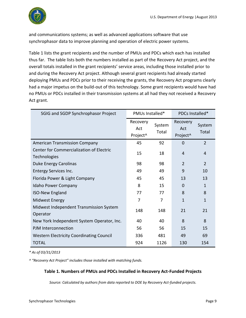

and communications systems; as well as advanced applications software that use synchrophasor data to improve planning and operation of electric power systems.

Table 1 lists the grant recipients and the number of PMUs and PDCs which each has installed thus far. The table lists both the numbers installed as part of the Recovery Act project, and the overall totals installed in the grant recipients' service areas, including those installed prior to and during the Recovery Act project. Although several grant recipients had already started deploying PMUs and PDCs prior to their receiving the grants, the Recovery Act programs clearly had a major impetus on the build-out of this technology. Some grant recipients would have had no PMUs or PDCs installed in their transmission systems at all had they not received a Recovery Act grant.

| SGIG and SGDP Synchrophasor Project                             | PMUs Installed*             |                 | PDCs Installed*             |                 |
|-----------------------------------------------------------------|-----------------------------|-----------------|-----------------------------|-----------------|
|                                                                 | Recovery<br>Act<br>Project^ | System<br>Total | Recovery<br>Act<br>Project^ | System<br>Total |
| <b>American Transmission Company</b>                            | 45                          | 92              | 0                           | $\overline{2}$  |
| <b>Center for Commercialization of Electric</b><br>Technologies | 15                          | 18              | 4                           | $\overline{4}$  |
| <b>Duke Energy Carolinas</b>                                    | 98                          | 98              | $\mathfrak{D}$              | $\overline{2}$  |
| <b>Entergy Services Inc.</b>                                    | 49                          | 49              | 9                           | 10              |
| Florida Power & Light Company                                   | 45                          | 45              | 13                          | 13              |
| Idaho Power Company                                             | 8                           | 15              | $\Omega$                    | $\mathbf{1}$    |
| <b>ISO-New England</b>                                          | 77                          | 77              | 8                           | 8               |
| Midwest Energy                                                  | 7                           | 7               | 1                           | $\mathbf{1}$    |
| Midwest Independent Transmission System<br>Operator             | 148                         | 148             | 21                          | 21              |
| New York Independent System Operator, Inc.                      | 40                          | 40              | 8                           | 8               |
| PJM Interconnection                                             | 56                          | 56              | 15                          | 15              |
| <b>Western Electricity Coordinating Council</b>                 | 336                         | 481             | 49                          | 69              |
| <b>TOTAL</b>                                                    | 924                         | 1126            | 130                         | 154             |

*\* As of 03/31/2013*

*^ "Recovery Act Project" includes those installed with matching funds.* 

#### **Table 1. Numbers of PMUs and PDCs Installed in Recovery Act-Funded Projects**

*Source: Calculated by authors from data reported to DOE by Recovery Act-funded projects.*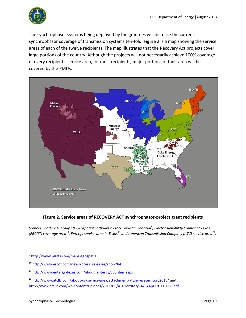

The synchrophasor systems being deployed by the grantees will increase the current synchrophasor coverage of transmission systems ten-fold. Figure 2 is a map showing the service areas of each of the twelve recipients. The map illustrates that the Recovery Act projects cover large portions of the country. Although the projects will not necessarily achieve 100% coverage of every recipient's service area, for most recipients, major portions of their area will be covered by the PMUs.



#### **Figure 2. Service areas of RECOVERY ACT synchrophasor-project grant recipients**

*Sources: Platts 2013 Maps & Geospatial Software by McGraw-Hill Financial<sup>9</sup> , Electric Reliability Council of Texas (ERCOT) coverage area<sup>10</sup>, Entergy service area in Texas<sup>11</sup> and American Transmission Company (ATC) service area<sup>12</sup> .*

<sup>&</sup>lt;sup>9</sup><http://www.platts.com/maps-geospatial>

<sup>10</sup> [http://www.ercot.com/news/press\\_releases/show/84](http://www.ercot.com/news/press_releases/show/84)

<sup>11</sup> [http://www.entergy-texas.com/about\\_entergy/counties.aspx](http://www.entergy-texas.com/about_entergy/counties.aspx)

<sup>12</sup> <http://www.atcllc.com/about-us/service-area/attachment/atcserviceterritory2010/> and

[http://www.atcllc.com/wp-content/uploads/2011/05/ATCTerritory34x34April2011\\_000.pdf](http://www.atcllc.com/wp-content/uploads/2011/05/ATCTerritory34x34April2011_000.pdf)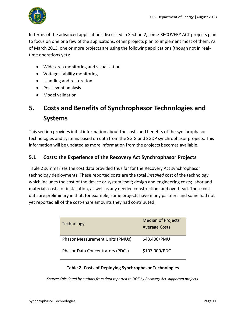In terms of the advanced applications discussed in Section 2, some RECOVERY ACT projects plan to focus on one or a few of the applications; other projects plan to implement most of them. As of March 2013, one or more projects are using the following applications (though not in realtime operations yet):

- Wide-area monitoring and visualization
- Voltage stability monitoring
- Islanding and restoration
- Post-event analysis
- Model validation

# <span id="page-12-0"></span>**5. Costs and Benefits of Synchrophasor Technologies and Systems**

This section provides initial information about the costs and benefits of the synchrophasor technologies and systems based on data from the SGIG and SGDP synchrophasor projects. This information will be updated as more information from the projects becomes available.

### <span id="page-12-1"></span>**5.1 Costs: the Experience of the Recovery Act Synchrophasor Projects**

Table 2 summarizes the cost data provided thus far for the Recovery Act synchrophasor technology deployments. These reported costs are the total *installed* cost of the technology which includes the cost of the device or system itself; design and engineering costs; labor and materials costs for installation, as well as any needed construction; and overhead. These cost data are preliminary in that, for example, some projects have many partners and some had not yet reported all of the cost-share amounts they had contributed.

| Technology                              | Median of Projects'<br><b>Average Costs</b> |
|-----------------------------------------|---------------------------------------------|
| <b>Phasor Measurement Units (PMUs)</b>  | \$43,400/PMU                                |
| <b>Phasor Data Concentrators (PDCs)</b> | \$107,000/PDC                               |

#### **Table 2. Costs of Deploying Synchrophasor Technologies**

*Source: Calculated by authors from data reported to DOE by Recovery Act-supported projects.*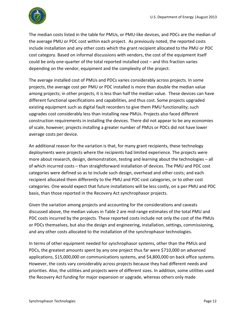

The median costs listed in the table for PMUs, or PMU-like devices, and PDCs are the median of the average PMU or PDC cost within each project. As previously noted, the reported costs include installation and any other costs which the grant recipient allocated to the PMU or PDC cost category. Based on informal discussions with vendors, the cost of the equipment itself could be only one-quarter of the total reported installed cost – and this fraction varies depending on the vendor, equipment and the complexity of the project.

The average installed cost of PMUs and PDCs varies considerably across projects. In some projects, the average cost per PMU or PDC installed is more than double the median value among projects; in other projects, it is less than half the median value. These devices can have different functional specifications and capabilities, and thus cost. Some projects upgraded existing equipment such as digital fault recorders to give them PMU functionality; such upgrades cost considerably less than installing new PMUs. Projects also faced different construction requirements in installing the devices. There did not appear to be any economies of scale, however; projects installing a greater number of PMUs or PDCs did not have lower average costs per device.

An additional reason for the variation is that, for many grant recipients, these technology deployments were projects where the recipients had limited experience. The projects were more about research, design, demonstration, testing and learning about the technologies – all of which incurred costs – than straightforward installation of devices. The PMU and PDC cost categories were defined so as to include such design, overhead and other costs; and each recipient allocated them differently to the PMU and PDC cost categories, or to other cost categories. One would expect that future installations will be less costly, on a per PMU and PDC basis, than those reported in the Recovery Act synchrophasor projects.

Given the variation among projects and accounting for the considerations and caveats discussed above, the median values in Table 2 are mid-range estimates of the total PMU and PDC costs incurred by the projects. These reported costs include not only the cost of the PMUs or PDCs themselves, but also the design and engineering, installation, settings, commissioning, and any other costs allocated to the installation of the synchrophasor technologies.

In terms of other equipment needed for synchrophasor systems, other than the PMUs and PDCs, the greatest amounts spent by any one project thus far were \$710,000 on advanced applications, \$15,000,000 on communications systems, and \$4,800,000 on back office systems. However, the costs vary considerably across projects because they had different needs and priorities. Also, the utilities and projects were of different sizes. In addition, some utilities used the Recovery Act funding for major expansion or upgrade, whereas others only made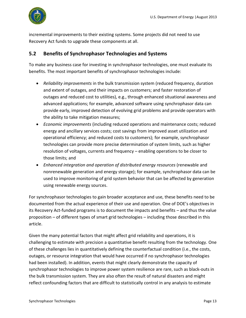

incremental improvements to their existing systems. Some projects did not need to use Recovery Act funds to upgrade these components at all.

### <span id="page-14-0"></span>**5.2 Benefits of Synchrophasor Technologies and Systems**

To make any business case for investing in synchrophasor technologies, one must evaluate its benefits. The most important benefits of synchrophasor technologies include:

- *Reliability improvements* in the bulk transmission system (reduced frequency, duration and extent of outages, and their impacts on customers; and faster restoration of outages and reduced cost to utilities), e.g., through enhanced situational awareness and advanced applications; for example, advanced software using synchrophasor data can provide early, improved detection of evolving grid problems and provide operators with the ability to take mitigation measures;
- *Economic improvements* (including reduced operations and maintenance costs; reduced energy and ancillary services costs; cost savings from improved asset utilization and operational efficiency; and reduced costs to customers); for example, synchrophasor technologies can provide more precise determination of system limits, such as higher resolution of voltages, currents and frequency – enabling operations to be closer to those limits; and
- *Enhanced integration and operation of distributed energy resources* (renewable and nonrenewable generation and energy storage); for example, synchrophasor data can be used to improve monitoring of grid system behavior that can be affected by generation using renewable energy sources.

For synchrophasor technologies to gain broader acceptance and use, these benefits need to be documented from the actual experience of their use and operation. One of DOE's objectives in its Recovery Act-funded programs is to document the impacts and benefits – and thus the value proposition – of different types of smart grid technologies – including those described in this article.

Given the many potential factors that might affect grid reliability and operations, it is challenging to estimate with precision a quantitative benefit resulting from the technology. One of these challenges lies in quantitatively defining the counterfactual condition (i.e., the costs, outages, or resource integration that would have occurred if no synchrophasor technologies had been installed). In addition, events that might clearly demonstrate the capacity of synchrophasor technologies to improve power system resilience are rare, such as black-outs in the bulk transmission system. They are also often the result of natural disasters and might reflect confounding factors that are difficult to statistically control in any analysis to estimate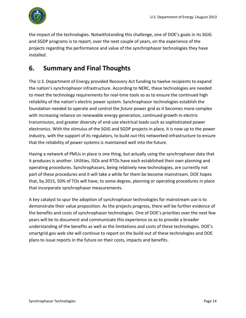

the impact of the technologies. Notwithstanding this challenge, one of DOE's goals in its SGIG and SGDP programs is to report, over the next couple of years, on the experience of the projects regarding the performance and value of the synchrophasor technologies they have installed.

# <span id="page-15-0"></span>**6. Summary and Final Thoughts**

The U.S. Department of Energy provided Recovery Act funding to twelve recipients to expand the nation's synchrophasor infrastructure. According to NERC, these technologies are needed to meet the technology requirements for real-time tools so as to ensure the continued high reliability of the nation's electric power system. Synchrophasor technologies establish the foundation needed to operate and control the *future* power grid as it becomes more complex with increasing reliance on renewable energy generation, continued growth in electric transmission, and greater diversity of end-use electrical loads such as sophisticated power electronics. With the stimulus of the SGIG and SGDP projects in place, it is now up to the power industry, with the support of its regulators, to build out this networked infrastructure to ensure that the reliability of power systems is maintained well into the future.

Having a network of PMUs in place is one thing, but actually using the synchrophasor data that it produces is another. Utilities, ISOs and RTOs have each established their own planning and operating procedures. Synchrophasors, being relatively new technologies, are currently not part of these procedures and it will take a while for them be become mainstream. DOE hopes that, by 2015, 50% of TOs will have, to some degree, planning or operating procedures in place that incorporate synchrophasor measurements.

A key catalyst to spur the adoption of synchrophasor technologies for mainstream use is to demonstrate their value proposition. As the projects progress, there will be further evidence of the benefits and costs of synchrophasor technologies. One of DOE's priorities over the next few years will be to document and communicate this experience so as to provide a broader understanding of the benefits as well as the limitations and costs of these technologies. DOE's smartgrid.gov web site will continue to report on the build-out of these technologies and DOE plans to issue reports in the future on their costs, impacts and benefits.